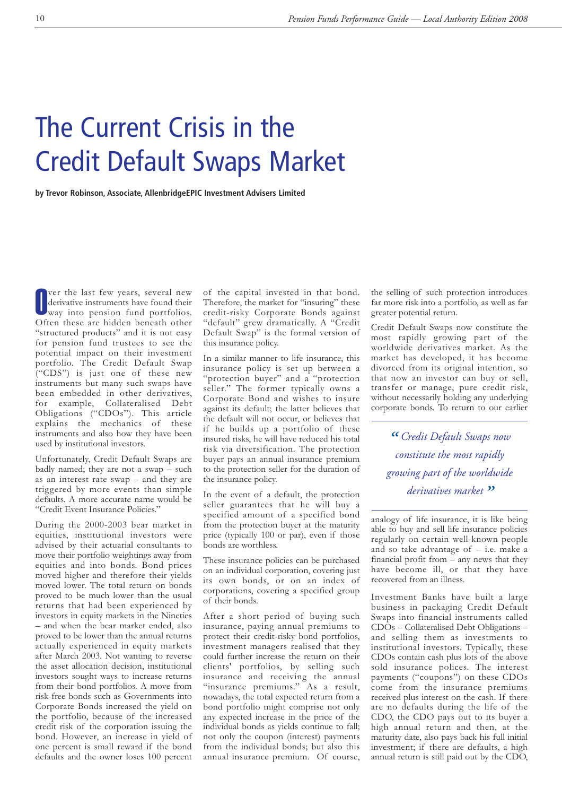## The Current Crisis in the Credit Default Swaps Market

**by Trevor Robinson, Associate, AllenbridgeEPIC Investment Advisers Limited**

O ver the last few years, several new derivative instruments have found their way into pension fund portfolios. Often these are hidden beneath other "structured products" and it is not easy for pension fund trustees to see the potential impact on their investment portfolio. The Credit Default Swap ("CDS") is just one of these new instruments but many such swaps have been embedded in other derivatives, for example, Collateralised Debt Obligations ("CDOs"). This article explains the mechanics of these instruments and also how they have been used by institutional investors.

Unfortunately, Credit Default Swaps are badly named; they are not a swap – such as an interest rate swap – and they are triggered by more events than simple defaults. A more accurate name would be "Credit Event Insurance Policies."

During the 2000-2003 bear market in equities, institutional investors were advised by their actuarial consultants to move their portfolio weightings away from equities and into bonds. Bond prices moved higher and therefore their yields moved lower. The total return on bonds proved to be much lower than the usual returns that had been experienced by investors in equity markets in the Nineties – and when the bear market ended, also proved to be lower than the annual returns actually experienced in equity markets after March 2003. Not wanting to reverse the asset allocation decision, institutional investors sought ways to increase returns from their bond portfolios. A move from risk-free bonds such as Governments into Corporate Bonds increased the yield on the portfolio, because of the increased credit risk of the corporation issuing the bond. However, an increase in yield of one percent is small reward if the bond defaults and the owner loses 100 percent of the capital invested in that bond. Therefore, the market for "insuring" these credit-risky Corporate Bonds against "default" grew dramatically. A "Credit Default Swap" is the formal version of this insurance policy.

In a similar manner to life insurance, this insurance policy is set up between a "protection buyer" and a "protection seller." The former typically owns a Corporate Bond and wishes to insure against its default; the latter believes that the default will not occur, or believes that if he builds up a portfolio of these insured risks, he will have reduced his total risk via diversification. The protection buyer pays an annual insurance premium to the protection seller for the duration of the insurance policy.

In the event of a default, the protection seller guarantees that he will buy a specified amount of a specified bond from the protection buyer at the maturity price (typically 100 or par), even if those bonds are worthless.

These insurance policies can be purchased on an individual corporation, covering just its own bonds, or on an index of corporations, covering a specified group of their bonds.

After a short period of buying such insurance, paying annual premiums to protect their credit-risky bond portfolios, investment managers realised that they could further increase the return on their clients' portfolios, by selling such insurance and receiving the annual "insurance premiums." As a result, nowadays, the total expected return from a bond portfolio might comprise not only any expected increase in the price of the individual bonds as yields continue to fall; not only the coupon (interest) payments from the individual bonds; but also this annual insurance premium. Of course, the selling of such protection introduces far more risk into a portfolio, as well as far greater potential return.

Credit Default Swaps now constitute the most rapidly growing part of the worldwide derivatives market. As the market has developed, it has become divorced from its original intention, so that now an investor can buy or sell, transfer or manage, pure credit risk, without necessarily holding any underlying corporate bonds. To return to our earlier

*" Credit Default Swaps now constitute the most rapidly growing part of the worldwide derivatives market"*

analogy of life insurance, it is like being able to buy and sell life insurance policies regularly on certain well-known people and so take advantage of – i.e. make a financial profit from – any news that they have become ill, or that they have recovered from an illness.

Investment Banks have built a large business in packaging Credit Default Swaps into financial instruments called  $CD\ddot{\text{O}}s$  – Collateralised Debt Obligations – and selling them as investments to institutional investors. Typically, these CDOs contain cash plus lots of the above sold insurance polices. The interest payments ("coupons") on these CDOs come from the insurance premiums received plus interest on the cash. If there are no defaults during the life of the CDO, the CDO pays out to its buyer a high annual return and then, at the maturity date, also pays back his full initial investment; if there are defaults, a high annual return is still paid out by the CDO,